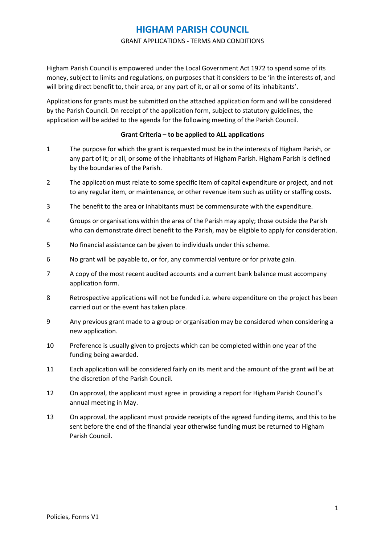#### GRANT APPLICATIONS - TERMS AND CONDITIONS

Higham Parish Council is empowered under the Local Government Act 1972 to spend some of its money, subject to limits and regulations, on purposes that it considers to be 'in the interests of, and will bring direct benefit to, their area, or any part of it, or all or some of its inhabitants'.

Applications for grants must be submitted on the attached application form and will be considered by the Parish Council. On receipt of the application form, subject to statutory guidelines, the application will be added to the agenda for the following meeting of the Parish Council.

#### **Grant Criteria – to be applied to ALL applications**

- 1 The purpose for which the grant is requested must be in the interests of Higham Parish, or any part of it; or all, or some of the inhabitants of Higham Parish. Higham Parish is defined by the boundaries of the Parish.
- 2 The application must relate to some specific item of capital expenditure or project, and not to any regular item, or maintenance, or other revenue item such as utility or staffing costs.
- 3 The benefit to the area or inhabitants must be commensurate with the expenditure.
- 4 Groups or organisations within the area of the Parish may apply; those outside the Parish who can demonstrate direct benefit to the Parish, may be eligible to apply for consideration.
- 5 No financial assistance can be given to individuals under this scheme.
- 6 No grant will be payable to, or for, any commercial venture or for private gain.
- 7 A copy of the most recent audited accounts and a current bank balance must accompany application form.
- 8 Retrospective applications will not be funded i.e. where expenditure on the project has been carried out or the event has taken place.
- 9 Any previous grant made to a group or organisation may be considered when considering a new application.
- 10 Preference is usually given to projects which can be completed within one year of the funding being awarded.
- 11 Each application will be considered fairly on its merit and the amount of the grant will be at the discretion of the Parish Council.
- 12 On approval, the applicant must agree in providing a report for Higham Parish Council's annual meeting in May.
- 13 On approval, the applicant must provide receipts of the agreed funding items, and this to be sent before the end of the financial year otherwise funding must be returned to Higham Parish Council.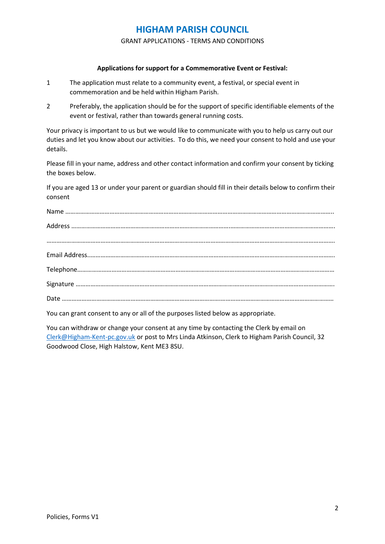GRANT APPLICATIONS - TERMS AND CONDITIONS

#### **Applications for support for a Commemorative Event or Festival:**

- 1 The application must relate to a community event, a festival, or special event in commemoration and be held within Higham Parish.
- 2 Preferably, the application should be for the support of specific identifiable elements of the event or festival, rather than towards general running costs.

Your privacy is important to us but we would like to communicate with you to help us carry out our duties and let you know about our activities. To do this, we need your consent to hold and use your details.

Please fill in your name, address and other contact information and confirm your consent by ticking the boxes below.

If you are aged 13 or under your parent or guardian should fill in their details below to confirm their consent

You can grant consent to any or all of the purposes listed below as appropriate.

You can withdraw or change your consent at any time by contacting the Clerk by email on [Clerk@Higham-Kent-pc.gov.uk](mailto:Clerk@Higham-Kent-pc.gov.uk) or post to Mrs Linda Atkinson, Clerk to Higham Parish Council, 32 Goodwood Close, High Halstow, Kent ME3 8SU.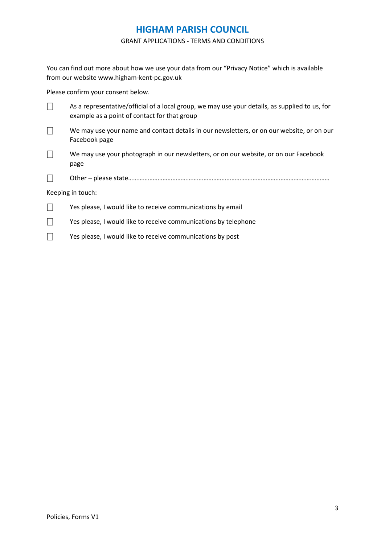#### GRANT APPLICATIONS - TERMS AND CONDITIONS

You can find out more about how we use your data from our "Privacy Notice" which is available from our website www.higham-kent-pc.gov.uk

Please confirm your consent below.

|                   | As a representative/official of a local group, we may use your details, as supplied to us, for<br>example as a point of contact for that group |  |  |
|-------------------|------------------------------------------------------------------------------------------------------------------------------------------------|--|--|
|                   | We may use your name and contact details in our newsletters, or on our website, or on our<br>Facebook page                                     |  |  |
|                   | We may use your photograph in our newsletters, or on our website, or on our Facebook<br>page                                                   |  |  |
|                   |                                                                                                                                                |  |  |
| Keeping in touch: |                                                                                                                                                |  |  |
|                   | Yes please, I would like to receive communications by email                                                                                    |  |  |
|                   | Yes please, I would like to receive communications by telephone                                                                                |  |  |
|                   | Yes please, I would like to receive communications by post                                                                                     |  |  |